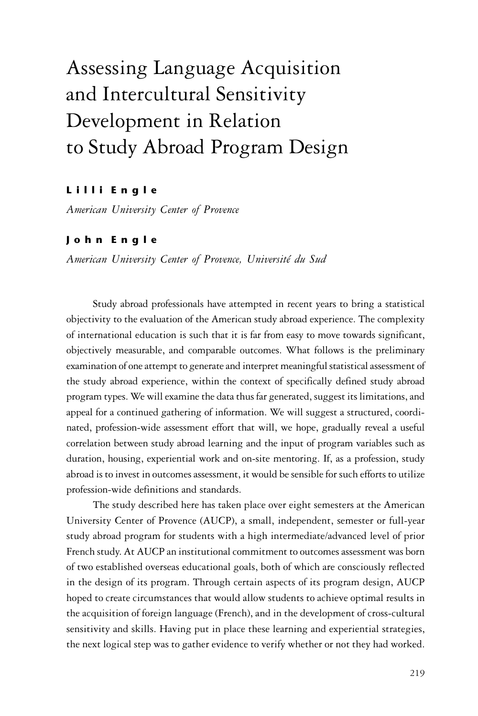# Assessing Language Acquisition and Intercultural Sensitivity Development in Relation to Study Abroad Program Design

# Lilli Engle

*American University Center of Provence*

# J o h n E n g l e

*American University Center of Provence, Université du Sud*

Study abroad professionals have attempted in recent years to bring a statistical objectivity to the evaluation of the American study abroad experience. The complexity of international education is such that it is far from easy to move towards significant, objectively measurable, and comparable outcomes. What follows is the preliminary examination of one attempt to generate and interpret meaningful statistical assessment of the study abroad experience, within the context of specifically defined study abroad program types. We will examine the data thus far generated, suggest its limitations, and appeal for a continued gathering of information. We will suggest a structured, coordinated, profession-wide assessment effort that will, we hope, gradually reveal a useful correlation between study abroad learning and the input of program variables such as duration, housing, experiential work and on-site mentoring. If, as a profession, study abroad is to invest in outcomes assessment, it would be sensible for such efforts to utilize profession-wide definitions and standards.

The study described here has taken place over eight semesters at the American University Center of Provence (AUCP), a small, independent, semester or full-year study abroad program for students with a high intermediate/advanced level of prior French study. At AUCP an institutional commitment to outcomes assessment was born of two established overseas educational goals, both of which are consciously reflected in the design of its program. Through certain aspects of its program design, AUCP hoped to create circumstances that would allow students to achieve optimal results in the acquisition of foreign language (French), and in the development of cross-cultural sensitivity and skills. Having put in place these learning and experiential strategies, the next logical step was to gather evidence to verify whether or not they had worked.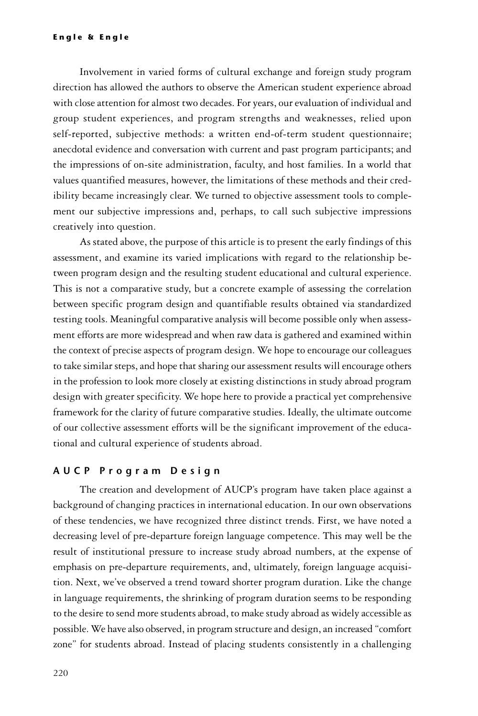Involvement in varied forms of cultural exchange and foreign study program direction has allowed the authors to observe the American student experience abroad with close attention for almost two decades. For years, our evaluation of individual and group student experiences, and program strengths and weaknesses, relied upon self-reported, subjective methods: a written end-of-term student questionnaire; anecdotal evidence and conversation with current and past program participants; and the impressions of on-site administration, faculty, and host families. In a world that values quantified measures, however, the limitations of these methods and their credibility became increasingly clear. We turned to objective assessment tools to complement our subjective impressions and, perhaps, to call such subjective impressions creatively into question.

As stated above, the purpose of this article is to present the early findings of this assessment, and examine its varied implications with regard to the relationship between program design and the resulting student educational and cultural experience. This is not a comparative study, but a concrete example of assessing the correlation between specific program design and quantifiable results obtained via standardized testing tools. Meaningful comparative analysis will become possible only when assessment efforts are more widespread and when raw data is gathered and examined within the context of precise aspects of program design. We hope to encourage our colleagues to take similar steps, and hope that sharing our assessment results will encourage others in the profession to look more closely at existing distinctions in study abroad program design with greater specificity. We hope here to provide a practical yet comprehensive framework for the clarity of future comparative studies. Ideally, the ultimate outcome of our collective assessment efforts will be the significant improvement of the educational and cultural experience of students abroad.

#### A U C P P r o g r a m D e s i g n

The creation and development of AUCP's program have taken place against a background of changing practices in international education. In our own observations of these tendencies, we have recognized three distinct trends. First, we have noted a decreasing level of pre-departure foreign language competence. This may well be the result of institutional pressure to increase study abroad numbers, at the expense of emphasis on pre-departure requirements, and, ultimately, foreign language acquisition. Next, we've observed a trend toward shorter program duration. Like the change in language requirements, the shrinking of program duration seems to be responding to the desire to send more students abroad, to make study abroad as widely accessible as possible. We have also observed, in program structure and design, an increased "comfort zone" for students abroad. Instead of placing students consistently in a challenging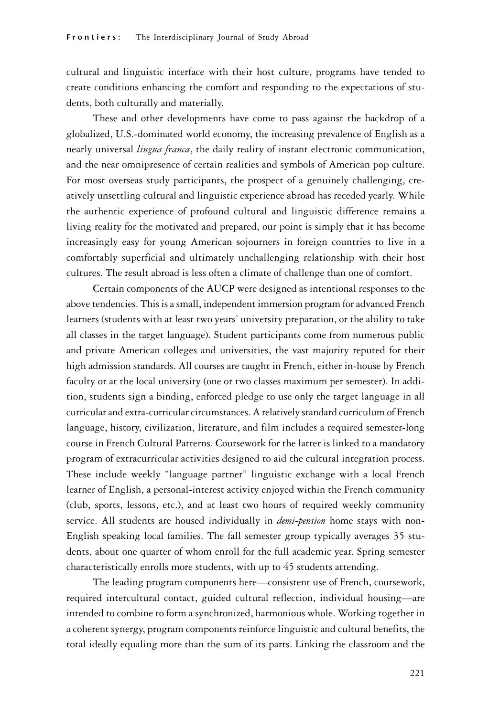cultural and linguistic interface with their host culture, programs have tended to create conditions enhancing the comfort and responding to the expectations of students, both culturally and materially.

These and other developments have come to pass against the backdrop of a globalized, U.S.-dominated world economy, the increasing prevalence of English as a nearly universal *lingua franca*, the daily reality of instant electronic communication, and the near omnipresence of certain realities and symbols of American pop culture. For most overseas study participants, the prospect of a genuinely challenging, creatively unsettling cultural and linguistic experience abroad has receded yearly. While the authentic experience of profound cultural and linguistic difference remains a living reality for the motivated and prepared, our point is simply that it has become increasingly easy for young American sojourners in foreign countries to live in a comfortably superficial and ultimately unchallenging relationship with their host cultures. The result abroad is less often a climate of challenge than one of comfort.

Certain components of the AUCP were designed as intentional responses to the above tendencies. This is a small, independent immersion program for advanced French learners (students with at least two years' university preparation, or the ability to take all classes in the target language). Student participants come from numerous public and private American colleges and universities, the vast majority reputed for their high admission standards. All courses are taught in French, either in-house by French faculty or at the local university (one or two classes maximum per semester). In addition, students sign a binding, enforced pledge to use only the target language in all curricular and extra-curricular circumstances. A relatively standard curriculum of French language, history, civilization, literature, and film includes a required semester-long course in French Cultural Patterns. Coursework for the latter is linked to a mandatory program of extracurricular activities designed to aid the cultural integration process. These include weekly "language partner" linguistic exchange with a local French learner of English, a personal-interest activity enjoyed within the French community (club, sports, lessons, etc.), and at least two hours of required weekly community service. All students are housed individually in *demi-pension* home stays with non-English speaking local families. The fall semester group typically averages 35 students, about one quarter of whom enroll for the full academic year. Spring semester characteristically enrolls more students, with up to 45 students attending.

The leading program components here—consistent use of French, coursework, required intercultural contact, guided cultural reflection, individual housing—are intended to combine to form a synchronized, harmonious whole. Working together in a coherent synergy, program components reinforce linguistic and cultural benefits, the total ideally equaling more than the sum of its parts. Linking the classroom and the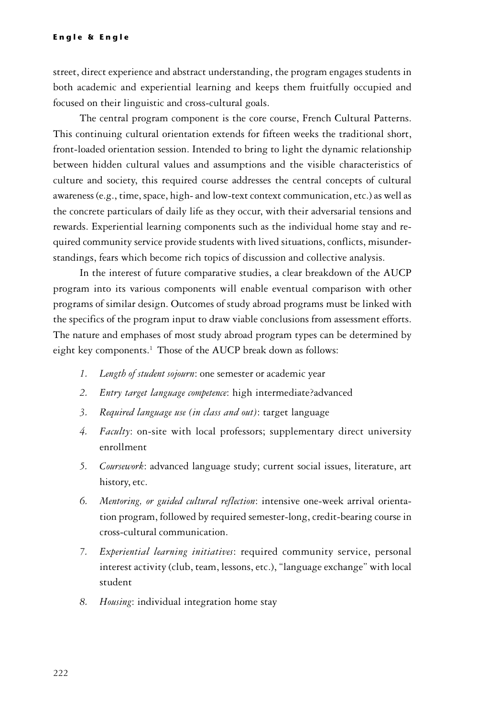street, direct experience and abstract understanding, the program engages students in both academic and experiential learning and keeps them fruitfully occupied and focused on their linguistic and cross-cultural goals.

The central program component is the core course, French Cultural Patterns. This continuing cultural orientation extends for fifteen weeks the traditional short, front-loaded orientation session. Intended to bring to light the dynamic relationship between hidden cultural values and assumptions and the visible characteristics of culture and society, this required course addresses the central concepts of cultural awareness (e.g., time, space, high- and low-text context communication, etc.) as well as the concrete particulars of daily life as they occur, with their adversarial tensions and rewards. Experiential learning components such as the individual home stay and required community service provide students with lived situations, conflicts, misunderstandings, fears which become rich topics of discussion and collective analysis.

In the interest of future comparative studies, a clear breakdown of the AUCP program into its various components will enable eventual comparison with other programs of similar design. Outcomes of study abroad programs must be linked with the specifics of the program input to draw viable conclusions from assessment efforts. The nature and emphases of most study abroad program types can be determined by eight key components.<sup>1</sup> Those of the AUCP break down as follows:

- *1. Length of student sojourn*: one semester or academic year
- *2. Entry target language competence*: high intermediate?advanced
- *3. Required language use (in class and out)*: target language
- *4. Faculty*: on-site with local professors; supplementary direct university enrollment
- *5. Coursework*: advanced language study; current social issues, literature, art history, etc.
- *6. Mentoring, or guided cultural reflection*: intensive one-week arrival orientation program, followed by required semester-long, credit-bearing course in cross-cultural communication.
- *7. Experiential learning initiatives*: required community service, personal interest activity (club, team, lessons, etc.), "language exchange" with local student
- *8. Housing*: individual integration home stay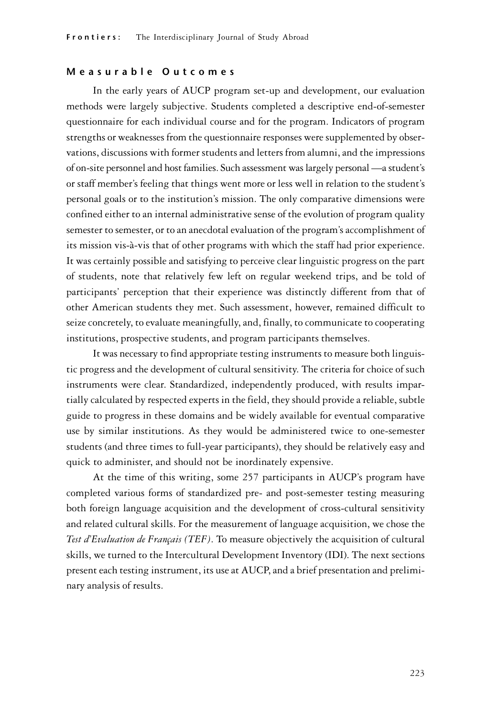#### M e a s u r a b l e O u t c o m e s

In the early years of AUCP program set-up and development, our evaluation methods were largely subjective. Students completed a descriptive end-of-semester questionnaire for each individual course and for the program. Indicators of program strengths or weaknesses from the questionnaire responses were supplemented by observations, discussions with former students and letters from alumni, and the impressions of on-site personnel and host families. Such assessment was largely personal —a student's or staff member's feeling that things went more or less well in relation to the student's personal goals or to the institution's mission. The only comparative dimensions were confined either to an internal administrative sense of the evolution of program quality semester to semester, or to an anecdotal evaluation of the program's accomplishment of its mission vis-à-vis that of other programs with which the staff had prior experience. It was certainly possible and satisfying to perceive clear linguistic progress on the part of students, note that relatively few left on regular weekend trips, and be told of participants' perception that their experience was distinctly different from that of other American students they met. Such assessment, however, remained difficult to seize concretely, to evaluate meaningfully, and, finally, to communicate to cooperating institutions, prospective students, and program participants themselves.

It was necessary to find appropriate testing instruments to measure both linguistic progress and the development of cultural sensitivity. The criteria for choice of such instruments were clear. Standardized, independently produced, with results impartially calculated by respected experts in the field, they should provide a reliable, subtle guide to progress in these domains and be widely available for eventual comparative use by similar institutions. As they would be administered twice to one-semester students (and three times to full-year participants), they should be relatively easy and quick to administer, and should not be inordinately expensive.

At the time of this writing, some 257 participants in AUCP's program have completed various forms of standardized pre- and post-semester testing measuring both foreign language acquisition and the development of cross-cultural sensitivity and related cultural skills. For the measurement of language acquisition, we chose the *Test d'Evaluation de Français (TEF)*. To measure objectively the acquisition of cultural skills, we turned to the Intercultural Development Inventory (IDI). The next sections present each testing instrument, its use at AUCP, and a brief presentation and preliminary analysis of results.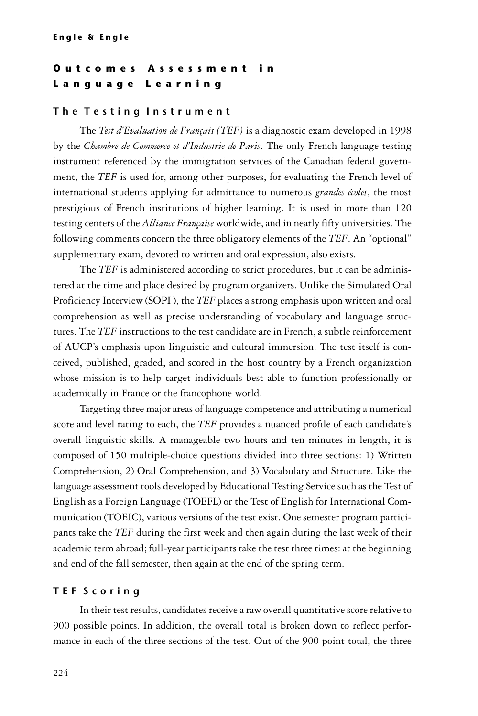# Outcomes Assessment in L a n g u a g e L e a r n i n g

## The Testing Instrument

The *Test d'Evaluation de Français (TEF)* is a diagnostic exam developed in 1998 by the *Chambre de Commerce et d'Industrie de Paris*. The only French language testing instrument referenced by the immigration services of the Canadian federal government, the *TEF* is used for, among other purposes, for evaluating the French level of international students applying for admittance to numerous *grandes écoles*, the most prestigious of French institutions of higher learning. It is used in more than 120 testing centers of the *Alliance Française* worldwide, and in nearly fifty universities. The following comments concern the three obligatory elements of the *TEF*. An "optional" supplementary exam, devoted to written and oral expression, also exists.

The *TEF* is administered according to strict procedures, but it can be administered at the time and place desired by program organizers. Unlike the Simulated Oral Proficiency Interview (SOPI ), the *TEF* places a strong emphasis upon written and oral comprehension as well as precise understanding of vocabulary and language structures. The *TEF* instructions to the test candidate are in French, a subtle reinforcement of AUCP's emphasis upon linguistic and cultural immersion. The test itself is conceived, published, graded, and scored in the host country by a French organization whose mission is to help target individuals best able to function professionally or academically in France or the francophone world.

Targeting three major areas of language competence and attributing a numerical score and level rating to each, the *TEF* provides a nuanced profile of each candidate's overall linguistic skills. A manageable two hours and ten minutes in length, it is composed of 150 multiple-choice questions divided into three sections: 1) Written Comprehension, 2) Oral Comprehension, and 3) Vocabulary and Structure. Like the language assessment tools developed by Educational Testing Service such as the Test of English as a Foreign Language (TOEFL) or the Test of English for International Communication (TOEIC), various versions of the test exist. One semester program participants take the *TEF* during the first week and then again during the last week of their academic term abroad; full-year participants take the test three times: at the beginning and end of the fall semester, then again at the end of the spring term.

## T E F S c o r i n g

In their test results, candidates receive a raw overall quantitative score relative to 900 possible points. In addition, the overall total is broken down to reflect performance in each of the three sections of the test. Out of the 900 point total, the three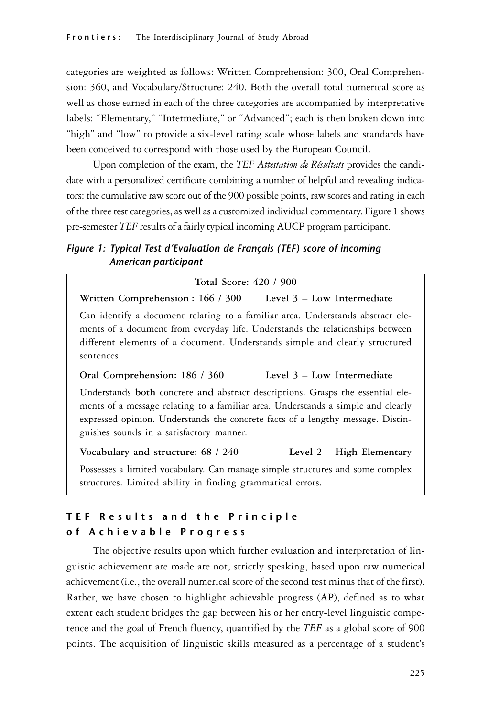categories are weighted as follows: Written Comprehension: 300, Oral Comprehension: 360, and Vocabulary/Structure: 240. Both the overall total numerical score as well as those earned in each of the three categories are accompanied by interpretative labels: "Elementary," "Intermediate," or "Advanced"; each is then broken down into "high" and "low" to provide a six-level rating scale whose labels and standards have been conceived to correspond with those used by the European Council.

Upon completion of the exam, the *TEF Attestation de Résultats* provides the candidate with a personalized certificate combining a number of helpful and revealing indicators: the cumulative raw score out of the 900 possible points, raw scores and rating in each of the three test categories, as well as a customized individual commentary. Figure 1 shows pre-semester *TEF* results of a fairly typical incoming AUCP program participant.

# Figure 1: Typical Test d'Evaluation de Français (TEF) score of incoming American participant

**Total Score: 420 / 900 Written Comprehension : 166 / 300 Level 3 – Low Intermediate** Can identify a document relating to a familiar area. Understands abstract elements of a document from everyday life. Understands the relationships between different elements of a document. Understands simple and clearly structured sentences. **Oral Comprehension: 186 / 360 Level 3 – Low Intermediate** Understands **both** concrete **and** abstract descriptions. Grasps the essential elements of a message relating to a familiar area. Understands a simple and clearly expressed opinion. Understands the concrete facts of a lengthy message. Distinguishes sounds in a satisfactory manner. **Vocabulary and structure: 68 / 240 Level 2 – High Elementar**y

Possesses a limited vocabulary. Can manage simple structures and some complex structures. Limited ability in finding grammatical errors.

# TEF Results and the Principle of Achievable Progress

The objective results upon which further evaluation and interpretation of linguistic achievement are made are not, strictly speaking, based upon raw numerical achievement (i.e., the overall numerical score of the second test minus that of the first). Rather, we have chosen to highlight achievable progress (AP), defined as to what extent each student bridges the gap between his or her entry-level linguistic competence and the goal of French fluency, quantified by the *TEF* as a global score of 900 points. The acquisition of linguistic skills measured as a percentage of a student's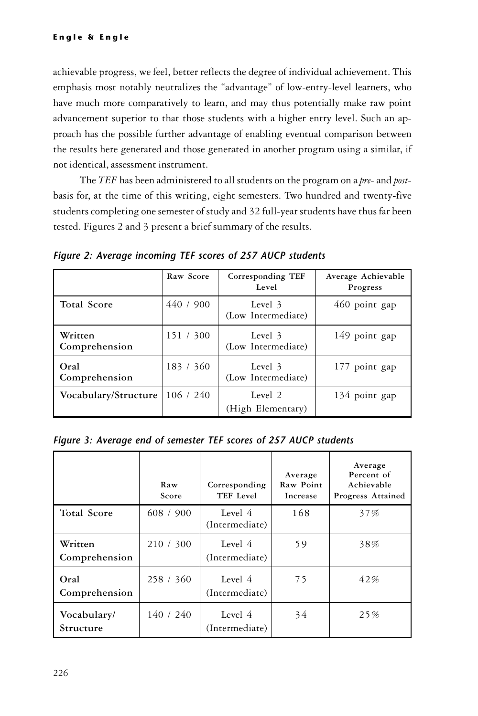achievable progress, we feel, better reflects the degree of individual achievement. This emphasis most notably neutralizes the "advantage" of low-entry-level learners, who have much more comparatively to learn, and may thus potentially make raw point advancement superior to that those students with a higher entry level. Such an approach has the possible further advantage of enabling eventual comparison between the results here generated and those generated in another program using a similar, if not identical, assessment instrument.

The *TEF* has been administered to all students on the program on a *pre-* and *post*basis for, at the time of this writing, eight semesters. Two hundred and twenty-five students completing one semester of study and 32 full-year students have thus far been tested. Figures 2 and 3 present a brief summary of the results.

|                          | Raw Score | Corresponding TEF<br>Level    | Average Achievable<br>Progress |
|--------------------------|-----------|-------------------------------|--------------------------------|
| <b>Total Score</b>       | 440 / 900 | Level 3<br>(Low Intermediate) | 460 point gap                  |
| Written<br>Comprehension | 151 / 300 | Level 3<br>(Low Intermediate) | 149 point gap                  |
| Oral<br>Comprehension    | 183 / 360 | Level 3<br>(Low Intermediate) | 177 point gap                  |
| Vocabulary/Structure     | 106 / 240 | Level 2<br>(High Elementary)  | 134 point gap                  |

Figure 2: Average incoming TEF scores of 257 AUCP students

Figure 3: Average end of semester TEF scores of 257 AUCP students

|                          | Raw<br>Score | Corresponding<br>TEF Level | Average<br>Raw Point<br>Increase | Average<br>Percent of<br>Achievable<br>Progress Attained |
|--------------------------|--------------|----------------------------|----------------------------------|----------------------------------------------------------|
| <b>Total Score</b>       | 608 / 900    | Level 4<br>(Intermediate)  | 168                              | 37%                                                      |
| Written<br>Comprehension | 210/300      | Level 4<br>(Intermediate)  | 59                               | 38%                                                      |
| Oral<br>Comprehension    | 258 / 360    | Level 4<br>(Intermediate)  | 75                               | 42%                                                      |
| Vocabulary/<br>Structure | 140/240      | Level 4<br>(Intermediate)  | 34                               | 25%                                                      |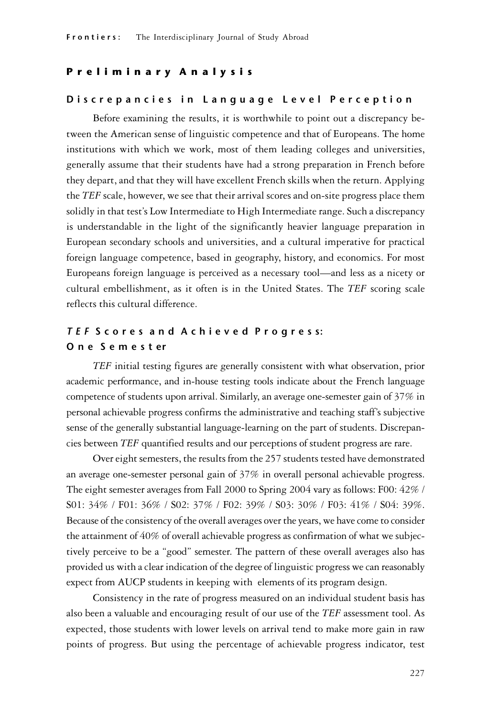# Preliminary Analysis

## Discrepancies in Language Level Perception

Before examining the results, it is worthwhile to point out a discrepancy between the American sense of linguistic competence and that of Europeans. The home institutions with which we work, most of them leading colleges and universities, generally assume that their students have had a strong preparation in French before they depart, and that they will have excellent French skills when the return. Applying the *TEF* scale, however, we see that their arrival scores and on-site progress place them solidly in that test's Low Intermediate to High Intermediate range. Such a discrepancy is understandable in the light of the significantly heavier language preparation in European secondary schools and universities, and a cultural imperative for practical foreign language competence, based in geography, history, and economics. For most Europeans foreign language is perceived as a necessary tool—and less as a nicety or cultural embellishment, as it often is in the United States. The *TEF* scoring scale reflects this cultural difference.

# T E F S c o r e s a n d A c h i e v e d P r o g r e s s: O n e S e m e s t er

*TEF* initial testing figures are generally consistent with what observation, prior academic performance, and in-house testing tools indicate about the French language competence of students upon arrival. Similarly, an average one-semester gain of 37% in personal achievable progress confirms the administrative and teaching staff's subjective sense of the generally substantial language-learning on the part of students. Discrepancies between *TEF* quantified results and our perceptions of student progress are rare.

Over eight semesters, the results from the 257 students tested have demonstrated an average one-semester personal gain of 37% in overall personal achievable progress. The eight semester averages from Fall 2000 to Spring 2004 vary as follows: F00: 42% / S01: 34% / F01: 36% / S02: 37% / F02: 39% / S03: 30% / F03: 41% / S04: 39%. Because of the consistency of the overall averages over the years, we have come to consider the attainment of 40% of overall achievable progress as confirmation of what we subjectively perceive to be a "good" semester. The pattern of these overall averages also has provided us with a clear indication of the degree of linguistic progress we can reasonably expect from AUCP students in keeping with elements of its program design.

Consistency in the rate of progress measured on an individual student basis has also been a valuable and encouraging result of our use of the *TEF* assessment tool. As expected, those students with lower levels on arrival tend to make more gain in raw points of progress. But using the percentage of achievable progress indicator, test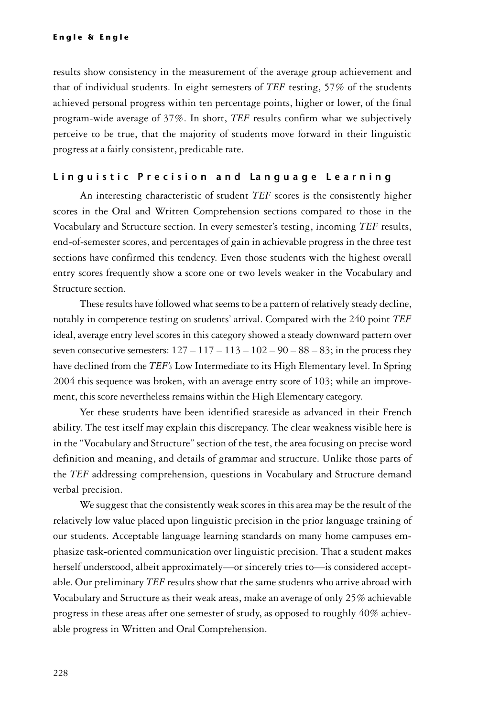results show consistency in the measurement of the average group achievement and that of individual students. In eight semesters of *TEF* testing, 57% of the students achieved personal progress within ten percentage points, higher or lower, of the final program-wide average of 37%. In short, *TEF* results confirm what we subjectively perceive to be true, that the majority of students move forward in their linguistic progress at a fairly consistent, predicable rate.

#### Linguistic Precision and Language Learning

An interesting characteristic of student *TEF* scores is the consistently higher scores in the Oral and Written Comprehension sections compared to those in the Vocabulary and Structure section. In every semester's testing, incoming *TEF* results, end-of-semester scores, and percentages of gain in achievable progress in the three test sections have confirmed this tendency. Even those students with the highest overall entry scores frequently show a score one or two levels weaker in the Vocabulary and Structure section.

These results have followed what seems to be a pattern of relatively steady decline, notably in competence testing on students' arrival. Compared with the 240 point *TEF* ideal, average entry level scores in this category showed a steady downward pattern over seven consecutive semesters:  $127 - 117 - 113 - 102 - 90 - 88 - 83$ ; in the process they have declined from the *TEF's* Low Intermediate to its High Elementary level. In Spring 2004 this sequence was broken, with an average entry score of 103; while an improvement, this score nevertheless remains within the High Elementary category.

Yet these students have been identified stateside as advanced in their French ability. The test itself may explain this discrepancy. The clear weakness visible here is in the "Vocabulary and Structure" section of the test, the area focusing on precise word definition and meaning, and details of grammar and structure. Unlike those parts of the *TEF* addressing comprehension, questions in Vocabulary and Structure demand verbal precision.

We suggest that the consistently weak scores in this area may be the result of the relatively low value placed upon linguistic precision in the prior language training of our students. Acceptable language learning standards on many home campuses emphasize task-oriented communication over linguistic precision. That a student makes herself understood, albeit approximately—or sincerely tries to—is considered acceptable. Our preliminary *TEF* results show that the same students who arrive abroad with Vocabulary and Structure as their weak areas, make an average of only 25% achievable progress in these areas after one semester of study, as opposed to roughly 40% achievable progress in Written and Oral Comprehension.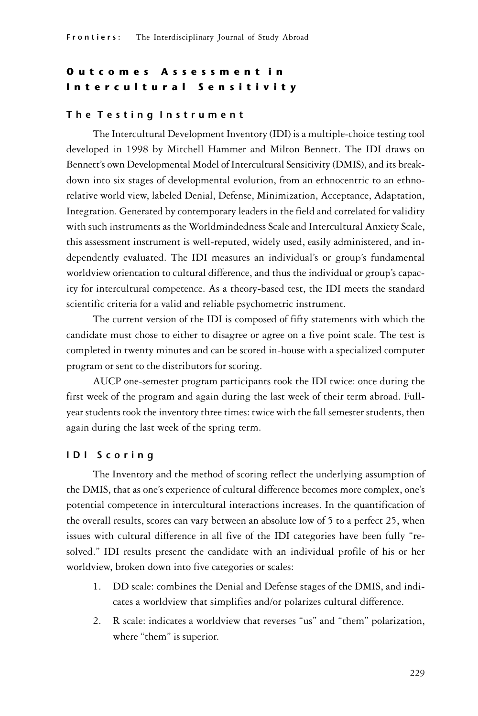# O u t c o m e s A s s e s s m e n t i n Intercultural Sensitivity

## The Testing Instrument

The Intercultural Development Inventory (IDI) is a multiple-choice testing tool developed in 1998 by Mitchell Hammer and Milton Bennett. The IDI draws on Bennett's own Developmental Model of Intercultural Sensitivity (DMIS), and its breakdown into six stages of developmental evolution, from an ethnocentric to an ethnorelative world view, labeled Denial, Defense, Minimization, Acceptance, Adaptation, Integration. Generated by contemporary leaders in the field and correlated for validity with such instruments as the Worldmindedness Scale and Intercultural Anxiety Scale, this assessment instrument is well-reputed, widely used, easily administered, and independently evaluated. The IDI measures an individual's or group's fundamental worldview orientation to cultural difference, and thus the individual or group's capacity for intercultural competence. As a theory-based test, the IDI meets the standard scientific criteria for a valid and reliable psychometric instrument.

The current version of the IDI is composed of fifty statements with which the candidate must chose to either to disagree or agree on a five point scale. The test is completed in twenty minutes and can be scored in-house with a specialized computer program or sent to the distributors for scoring.

AUCP one-semester program participants took the IDI twice: once during the first week of the program and again during the last week of their term abroad. Fullyear students took the inventory three times: twice with the fall semester students, then again during the last week of the spring term.

## I D I S c o r i n g

The Inventory and the method of scoring reflect the underlying assumption of the DMIS, that as one's experience of cultural difference becomes more complex, one's potential competence in intercultural interactions increases. In the quantification of the overall results, scores can vary between an absolute low of 5 to a perfect 25, when issues with cultural difference in all five of the IDI categories have been fully "resolved." IDI results present the candidate with an individual profile of his or her worldview, broken down into five categories or scales:

- 1. DD scale: combines the Denial and Defense stages of the DMIS, and indicates a worldview that simplifies and/or polarizes cultural difference.
- 2. R scale: indicates a worldview that reverses "us" and "them" polarization, where "them" is superior.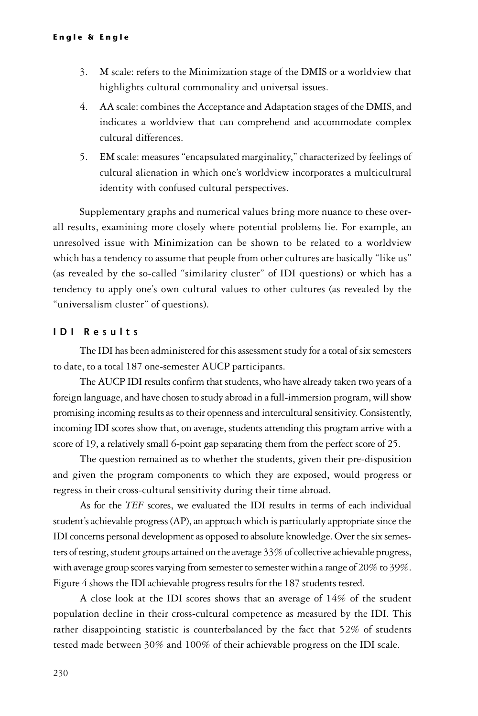- 3. M scale: refers to the Minimization stage of the DMIS or a worldview that highlights cultural commonality and universal issues.
- 4. AA scale: combines the Acceptance and Adaptation stages of the DMIS, and indicates a worldview that can comprehend and accommodate complex cultural differences.
- 5. EM scale: measures "encapsulated marginality," characterized by feelings of cultural alienation in which one's worldview incorporates a multicultural identity with confused cultural perspectives.

Supplementary graphs and numerical values bring more nuance to these overall results, examining more closely where potential problems lie. For example, an unresolved issue with Minimization can be shown to be related to a worldview which has a tendency to assume that people from other cultures are basically "like us" (as revealed by the so-called "similarity cluster" of IDI questions) or which has a tendency to apply one's own cultural values to other cultures (as revealed by the "universalism cluster" of questions).

# I D I Results

The IDI has been administered for this assessment study for a total of six semesters to date, to a total 187 one-semester AUCP participants.

The AUCP IDI results confirm that students, who have already taken two years of a foreign language, and have chosen to study abroad in a full-immersion program, will show promising incoming results as to their openness and intercultural sensitivity. Consistently, incoming IDI scores show that, on average, students attending this program arrive with a score of 19, a relatively small 6-point gap separating them from the perfect score of 25.

The question remained as to whether the students, given their pre-disposition and given the program components to which they are exposed, would progress or regress in their cross-cultural sensitivity during their time abroad.

As for the *TEF* scores, we evaluated the IDI results in terms of each individual student's achievable progress (AP), an approach which is particularly appropriate since the IDI concerns personal development as opposed to absolute knowledge. Over the six semesters of testing, student groups attained on the average 33% of collective achievable progress, with average group scores varying from semester to semester within a range of 20% to 39%. Figure 4 shows the IDI achievable progress results for the 187 students tested.

A close look at the IDI scores shows that an average of 14% of the student population decline in their cross-cultural competence as measured by the IDI. This rather disappointing statistic is counterbalanced by the fact that 52% of students tested made between 30% and 100% of their achievable progress on the IDI scale.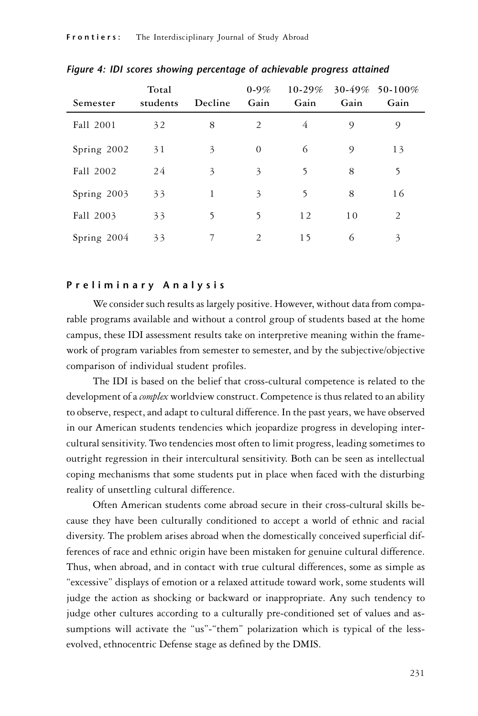| Semester    | Total<br>students | Decline | $0 - 9\%$<br>Gain        | $10 - 29\%$<br>Gain | Gain | 30-49% 50-100%<br>Gain |
|-------------|-------------------|---------|--------------------------|---------------------|------|------------------------|
| Fall 2001   | 32                | 8       | 2                        | 4                   | 9    | 9                      |
| Spring 2002 | 31                | 3       | $\theta$                 | 6                   | 9    | 13                     |
| Fall 2002   | 24                | 3       | $\overline{\mathcal{E}}$ | 5                   | 8    | 5                      |
| Spring 2003 | 33                | 1       | 3                        | 5                   | 8    | 16                     |
| Fall 2003   | 33                | 5       | 5                        | 12                  | 10   | 2                      |
| Spring 2004 | 33                | 7       | 2                        | 15                  | 6    | 3                      |

Figure 4: IDI scores showing percentage of achievable progress attained

#### P r e l i m i n a r y A n a l y s i s

We consider such results as largely positive. However, without data from comparable programs available and without a control group of students based at the home campus, these IDI assessment results take on interpretive meaning within the framework of program variables from semester to semester, and by the subjective/objective comparison of individual student profiles.

The IDI is based on the belief that cross-cultural competence is related to the development of a *complex* worldview construct. Competence is thus related to an ability to observe, respect, and adapt to cultural difference. In the past years, we have observed in our American students tendencies which jeopardize progress in developing intercultural sensitivity. Two tendencies most often to limit progress, leading sometimes to outright regression in their intercultural sensitivity. Both can be seen as intellectual coping mechanisms that some students put in place when faced with the disturbing reality of unsettling cultural difference.

Often American students come abroad secure in their cross-cultural skills because they have been culturally conditioned to accept a world of ethnic and racial diversity. The problem arises abroad when the domestically conceived superficial differences of race and ethnic origin have been mistaken for genuine cultural difference. Thus, when abroad, and in contact with true cultural differences, some as simple as "excessive" displays of emotion or a relaxed attitude toward work, some students will judge the action as shocking or backward or inappropriate. Any such tendency to judge other cultures according to a culturally pre-conditioned set of values and assumptions will activate the "us"-"them" polarization which is typical of the lessevolved, ethnocentric Defense stage as defined by the DMIS.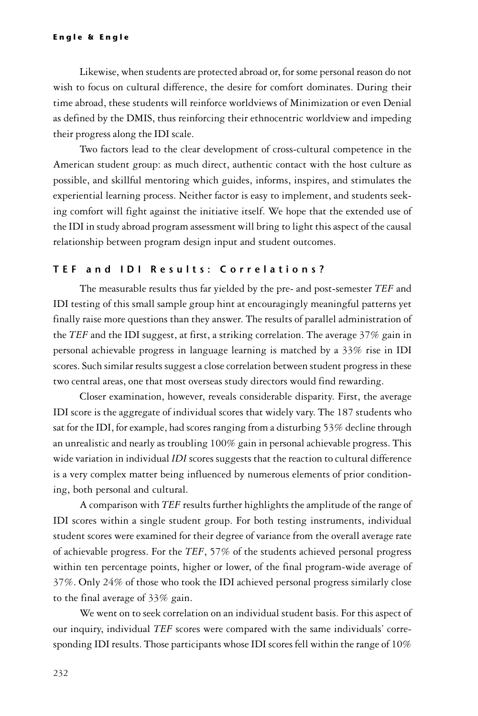Likewise, when students are protected abroad or, for some personal reason do not wish to focus on cultural difference, the desire for comfort dominates. During their time abroad, these students will reinforce worldviews of Minimization or even Denial as defined by the DMIS, thus reinforcing their ethnocentric worldview and impeding their progress along the IDI scale.

Two factors lead to the clear development of cross-cultural competence in the American student group: as much direct, authentic contact with the host culture as possible, and skillful mentoring which guides, informs, inspires, and stimulates the experiential learning process. Neither factor is easy to implement, and students seeking comfort will fight against the initiative itself. We hope that the extended use of the IDI in study abroad program assessment will bring to light this aspect of the causal relationship between program design input and student outcomes.

# TEF and IDI Results: Correlations?

The measurable results thus far yielded by the pre- and post-semester *TEF* and IDI testing of this small sample group hint at encouragingly meaningful patterns yet finally raise more questions than they answer. The results of parallel administration of the *TEF* and the IDI suggest, at first, a striking correlation. The average 37% gain in personal achievable progress in language learning is matched by a 33% rise in IDI scores. Such similar results suggest a close correlation between student progress in these two central areas, one that most overseas study directors would find rewarding.

Closer examination, however, reveals considerable disparity. First, the average IDI score is the aggregate of individual scores that widely vary. The 187 students who sat for the IDI, for example, had scores ranging from a disturbing 53% decline through an unrealistic and nearly as troubling 100% gain in personal achievable progress. This wide variation in individual *IDI* scores suggests that the reaction to cultural difference is a very complex matter being influenced by numerous elements of prior conditioning, both personal and cultural.

A comparison with *TEF* results further highlights the amplitude of the range of IDI scores within a single student group. For both testing instruments, individual student scores were examined for their degree of variance from the overall average rate of achievable progress. For the *TEF*, 57% of the students achieved personal progress within ten percentage points, higher or lower, of the final program-wide average of 37%. Only 24% of those who took the IDI achieved personal progress similarly close to the final average of 33% gain.

We went on to seek correlation on an individual student basis. For this aspect of our inquiry, individual *TEF* scores were compared with the same individuals' corresponding IDI results. Those participants whose IDI scores fell within the range of 10%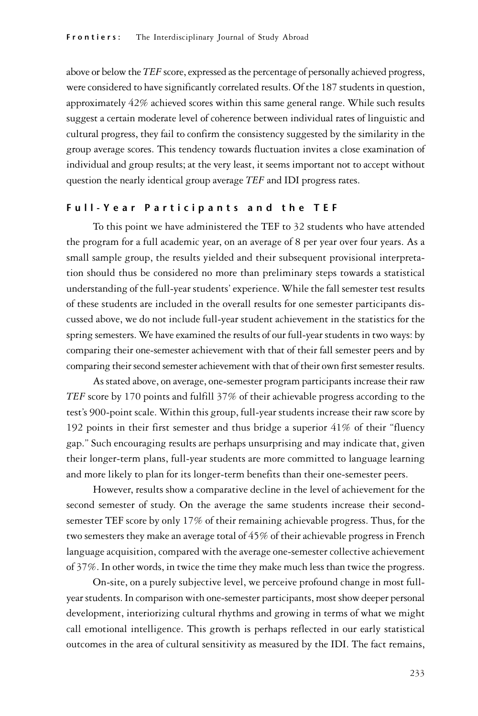above or below the *TEF* score, expressed as the percentage of personally achieved progress, were considered to have significantly correlated results. Of the 187 students in question, approximately 42% achieved scores within this same general range. While such results suggest a certain moderate level of coherence between individual rates of linguistic and cultural progress, they fail to confirm the consistency suggested by the similarity in the group average scores. This tendency towards fluctuation invites a close examination of individual and group results; at the very least, it seems important not to accept without question the nearly identical group average *TEF* and IDI progress rates.

# Full-Year Participants and the TEF

To this point we have administered the TEF to 32 students who have attended the program for a full academic year, on an average of 8 per year over four years. As a small sample group, the results yielded and their subsequent provisional interpretation should thus be considered no more than preliminary steps towards a statistical understanding of the full-year students' experience. While the fall semester test results of these students are included in the overall results for one semester participants discussed above, we do not include full-year student achievement in the statistics for the spring semesters. We have examined the results of our full-year students in two ways: by comparing their one-semester achievement with that of their fall semester peers and by comparing their second semester achievement with that of their own first semester results.

As stated above, on average, one-semester program participants increase their raw *TEF* score by 170 points and fulfill 37% of their achievable progress according to the test's 900-point scale. Within this group, full-year students increase their raw score by 192 points in their first semester and thus bridge a superior 41% of their "fluency gap." Such encouraging results are perhaps unsurprising and may indicate that, given their longer-term plans, full-year students are more committed to language learning and more likely to plan for its longer-term benefits than their one-semester peers.

However, results show a comparative decline in the level of achievement for the second semester of study. On the average the same students increase their secondsemester TEF score by only 17% of their remaining achievable progress. Thus, for the two semesters they make an average total of 45% of their achievable progress in French language acquisition, compared with the average one-semester collective achievement of 37%. In other words, in twice the time they make much less than twice the progress.

On-site, on a purely subjective level, we perceive profound change in most fullyear students. In comparison with one-semester participants, most show deeper personal development, interiorizing cultural rhythms and growing in terms of what we might call emotional intelligence. This growth is perhaps reflected in our early statistical outcomes in the area of cultural sensitivity as measured by the IDI. The fact remains,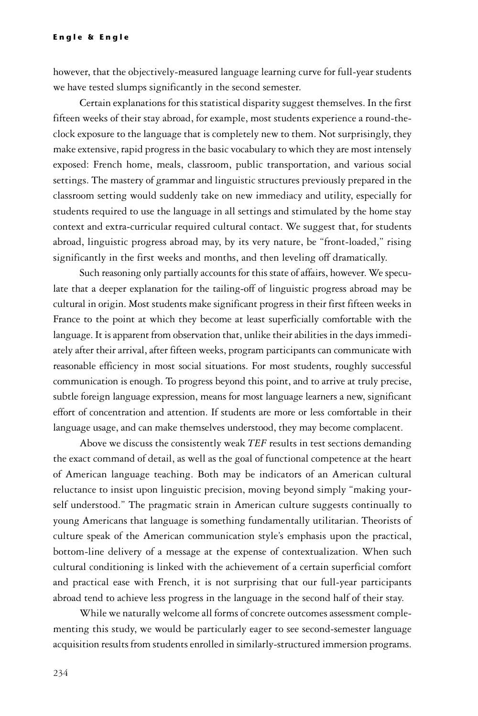however, that the objectively-measured language learning curve for full-year students we have tested slumps significantly in the second semester.

Certain explanations for this statistical disparity suggest themselves. In the first fifteen weeks of their stay abroad, for example, most students experience a round-theclock exposure to the language that is completely new to them. Not surprisingly, they make extensive, rapid progress in the basic vocabulary to which they are most intensely exposed: French home, meals, classroom, public transportation, and various social settings. The mastery of grammar and linguistic structures previously prepared in the classroom setting would suddenly take on new immediacy and utility, especially for students required to use the language in all settings and stimulated by the home stay context and extra-curricular required cultural contact. We suggest that, for students abroad, linguistic progress abroad may, by its very nature, be "front-loaded," rising significantly in the first weeks and months, and then leveling off dramatically.

Such reasoning only partially accounts for this state of affairs, however. We speculate that a deeper explanation for the tailing-off of linguistic progress abroad may be cultural in origin. Most students make significant progress in their first fifteen weeks in France to the point at which they become at least superficially comfortable with the language. It is apparent from observation that, unlike their abilities in the days immediately after their arrival, after fifteen weeks, program participants can communicate with reasonable efficiency in most social situations. For most students, roughly successful communication is enough. To progress beyond this point, and to arrive at truly precise, subtle foreign language expression, means for most language learners a new, significant effort of concentration and attention. If students are more or less comfortable in their language usage, and can make themselves understood, they may become complacent.

Above we discuss the consistently weak *TEF* results in test sections demanding the exact command of detail, as well as the goal of functional competence at the heart of American language teaching. Both may be indicators of an American cultural reluctance to insist upon linguistic precision, moving beyond simply "making yourself understood." The pragmatic strain in American culture suggests continually to young Americans that language is something fundamentally utilitarian. Theorists of culture speak of the American communication style's emphasis upon the practical, bottom-line delivery of a message at the expense of contextualization. When such cultural conditioning is linked with the achievement of a certain superficial comfort and practical ease with French, it is not surprising that our full-year participants abroad tend to achieve less progress in the language in the second half of their stay.

While we naturally welcome all forms of concrete outcomes assessment complementing this study, we would be particularly eager to see second-semester language acquisition results from students enrolled in similarly-structured immersion programs.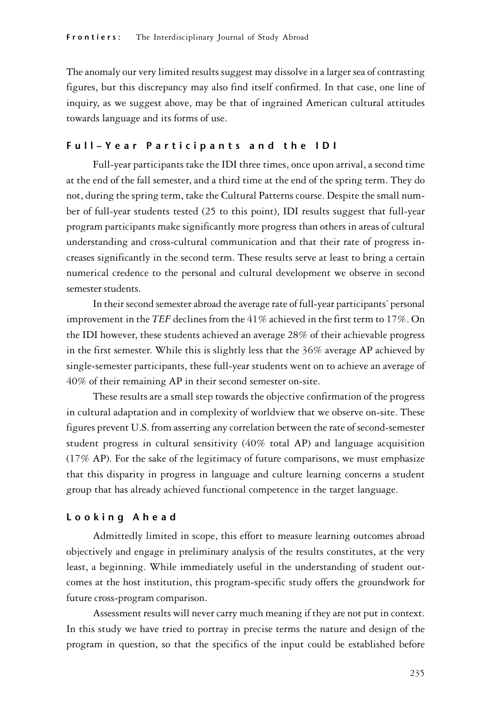The anomaly our very limited results suggest may dissolve in a larger sea of contrasting figures, but this discrepancy may also find itself confirmed. In that case, one line of inquiry, as we suggest above, may be that of ingrained American cultural attitudes towards language and its forms of use.

#### Full-Year Participants and the IDI

Full-year participants take the IDI three times, once upon arrival, a second time at the end of the fall semester, and a third time at the end of the spring term. They do not, during the spring term, take the Cultural Patterns course. Despite the small number of full-year students tested (25 to this point), IDI results suggest that full-year program participants make significantly more progress than others in areas of cultural understanding and cross-cultural communication and that their rate of progress increases significantly in the second term. These results serve at least to bring a certain numerical credence to the personal and cultural development we observe in second semester students.

In their second semester abroad the average rate of full-year participants' personal improvement in the *TEF* declines from the 41% achieved in the first term to 17%. On the IDI however, these students achieved an average 28% of their achievable progress in the first semester. While this is slightly less that the 36% average AP achieved by single-semester participants, these full-year students went on to achieve an average of 40% of their remaining AP in their second semester on-site.

These results are a small step towards the objective confirmation of the progress in cultural adaptation and in complexity of worldview that we observe on-site. These figures prevent U.S. from asserting any correlation between the rate of second-semester student progress in cultural sensitivity  $(40\%$  total AP) and language acquisition (17% AP). For the sake of the legitimacy of future comparisons, we must emphasize that this disparity in progress in language and culture learning concerns a student group that has already achieved functional competence in the target language.

#### L o o k i n g A h e a d

Admittedly limited in scope, this effort to measure learning outcomes abroad objectively and engage in preliminary analysis of the results constitutes, at the very least, a beginning. While immediately useful in the understanding of student outcomes at the host institution, this program-specific study offers the groundwork for future cross-program comparison.

Assessment results will never carry much meaning if they are not put in context. In this study we have tried to portray in precise terms the nature and design of the program in question, so that the specifics of the input could be established before